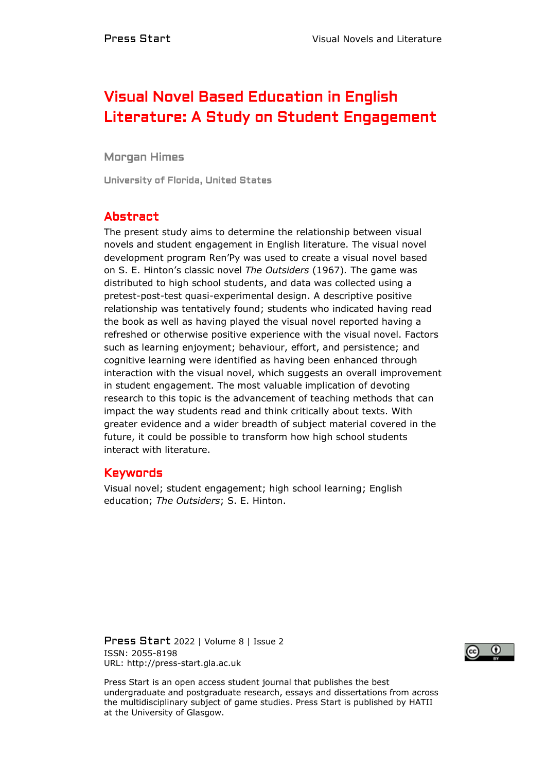# Visual Novel Based Education in English Literature: A Study on Student Engagement

Morgan Himes

University of Florida, United States

# Abstract

The present study aims to determine the relationship between visual novels and student engagement in English literature. The visual novel development program Ren'Py was used to create a visual novel based on S. E. Hinton's classic novel *The Outsiders* (1967)*.* The game was distributed to high school students, and data was collected using a pretest-post-test quasi-experimental design. A descriptive positive relationship was tentatively found; students who indicated having read the book as well as having played the visual novel reported having a refreshed or otherwise positive experience with the visual novel. Factors such as learning enjoyment; behaviour, effort, and persistence; and cognitive learning were identified as having been enhanced through interaction with the visual novel, which suggests an overall improvement in student engagement. The most valuable implication of devoting research to this topic is the advancement of teaching methods that can impact the way students read and think critically about texts. With greater evidence and a wider breadth of subject material covered in the future, it could be possible to transform how high school students interact with literature.

# Keywords

Visual novel; student engagement; high school learning; English education; *The Outsiders*; S. E. Hinton.

Press Start 2022 | Volume 8 | Issue 2 ISSN: 2055-8198 URL: http://press-start.gla.ac.uk



Press Start is an open access student journal that publishes the best undergraduate and postgraduate research, essays and dissertations from across the multidisciplinary subject of game studies. Press Start is published by HATII at the University of Glasgow.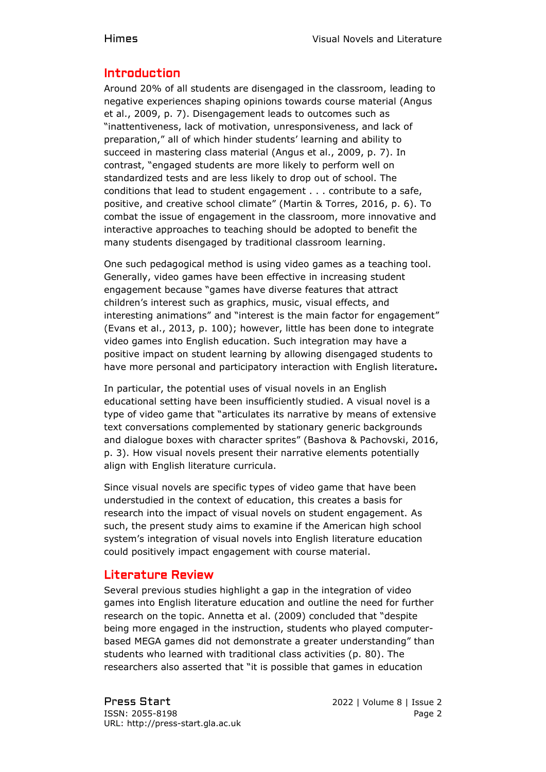# Introduction

Around 20% of all students are disengaged in the classroom, leading to negative experiences shaping opinions towards course material (Angus et al., 2009, p. 7). Disengagement leads to outcomes such as "inattentiveness, lack of motivation, unresponsiveness, and lack of preparation," all of which hinder students' learning and ability to succeed in mastering class material (Angus et al., 2009, p. 7). In contrast, "engaged students are more likely to perform well on standardized tests and are less likely to drop out of school. The conditions that lead to student engagement . . . contribute to a safe, positive, and creative school climate" (Martin & Torres, 2016, p. 6). To combat the issue of engagement in the classroom, more innovative and interactive approaches to teaching should be adopted to benefit the many students disengaged by traditional classroom learning.

One such pedagogical method is using video games as a teaching tool. Generally, video games have been effective in increasing student engagement because "games have diverse features that attract children's interest such as graphics, music, visual effects, and interesting animations" and "interest is the main factor for engagement" (Evans et al., 2013, p. 100); however, little has been done to integrate video games into English education. Such integration may have a positive impact on student learning by allowing disengaged students to have more personal and participatory interaction with English literature**.**

In particular, the potential uses of visual novels in an English educational setting have been insufficiently studied. A visual novel is a type of video game that "articulates its narrative by means of extensive text conversations complemented by stationary generic backgrounds and dialogue boxes with character sprites" (Bashova & Pachovski, 2016, p. 3). How visual novels present their narrative elements potentially align with English literature curricula.

Since visual novels are specific types of video game that have been understudied in the context of education, this creates a basis for research into the impact of visual novels on student engagement. As such, the present study aims to examine if the American high school system's integration of visual novels into English literature education could positively impact engagement with course material.

## Literature Review

Several previous studies highlight a gap in the integration of video games into English literature education and outline the need for further research on the topic. Annetta et al. (2009) concluded that "despite being more engaged in the instruction, students who played computerbased MEGA games did not demonstrate a greater understanding" than students who learned with traditional class activities (p. 80). The researchers also asserted that "it is possible that games in education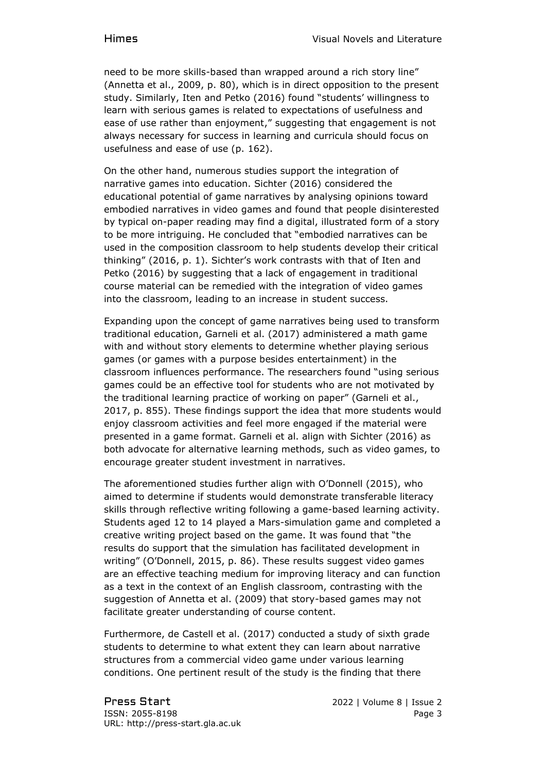need to be more skills-based than wrapped around a rich story line" (Annetta et al., 2009, p. 80), which is in direct opposition to the present study. Similarly, Iten and Petko (2016) found "students' willingness to learn with serious games is related to expectations of usefulness and ease of use rather than enjoyment," suggesting that engagement is not always necessary for success in learning and curricula should focus on usefulness and ease of use (p. 162).

On the other hand, numerous studies support the integration of narrative games into education. Sichter (2016) considered the educational potential of game narratives by analysing opinions toward embodied narratives in video games and found that people disinterested by typical on-paper reading may find a digital, illustrated form of a story to be more intriguing. He concluded that "embodied narratives can be used in the composition classroom to help students develop their critical thinking" (2016, p. 1). Sichter's work contrasts with that of Iten and Petko (2016) by suggesting that a lack of engagement in traditional course material can be remedied with the integration of video games into the classroom, leading to an increase in student success.

Expanding upon the concept of game narratives being used to transform traditional education, Garneli et al. (2017) administered a math game with and without story elements to determine whether playing serious games (or games with a purpose besides entertainment) in the classroom influences performance. The researchers found "using serious games could be an effective tool for students who are not motivated by the traditional learning practice of working on paper" (Garneli et al., 2017, p. 855). These findings support the idea that more students would enjoy classroom activities and feel more engaged if the material were presented in a game format. Garneli et al. align with Sichter (2016) as both advocate for alternative learning methods, such as video games, to encourage greater student investment in narratives.

The aforementioned studies further align with O'Donnell (2015), who aimed to determine if students would demonstrate transferable literacy skills through reflective writing following a game-based learning activity. Students aged 12 to 14 played a Mars-simulation game and completed a creative writing project based on the game. It was found that "the results do support that the simulation has facilitated development in writing" (O'Donnell, 2015, p. 86). These results suggest video games are an effective teaching medium for improving literacy and can function as a text in the context of an English classroom, contrasting with the suggestion of Annetta et al. (2009) that story-based games may not facilitate greater understanding of course content.

Furthermore, de Castell et al. (2017) conducted a study of sixth grade students to determine to what extent they can learn about narrative structures from a commercial video game under various learning conditions. One pertinent result of the study is the finding that there

Press Start 2022 | Volume 8 | Issue 2 ISSN: 2055-8198 Page 3 URL: http://press-start.gla.ac.uk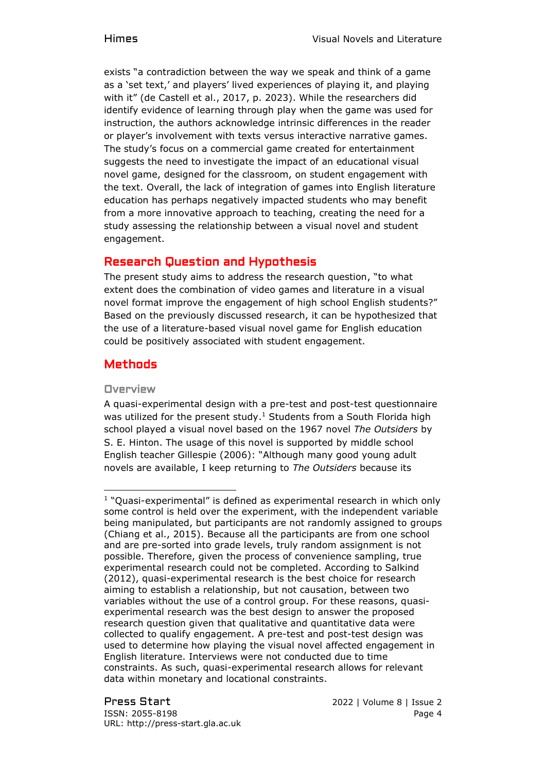exists "a contradiction between the way we speak and think of a game as a 'set text,' and players' lived experiences of playing it, and playing with it" (de Castell et al., 2017, p. 2023). While the researchers did identify evidence of learning through play when the game was used for instruction, the authors acknowledge intrinsic differences in the reader or player's involvement with texts versus interactive narrative games. The study's focus on a commercial game created for entertainment suggests the need to investigate the impact of an educational visual novel game, designed for the classroom, on student engagement with the text. Overall, the lack of integration of games into English literature education has perhaps negatively impacted students who may benefit from a more innovative approach to teaching, creating the need for a study assessing the relationship between a visual novel and student engagement.

# Research Question and Hypothesis

The present study aims to address the research question, "to what extent does the combination of video games and literature in a visual novel format improve the engagement of high school English students?" Based on the previously discussed research, it can be hypothesized that the use of a literature-based visual novel game for English education could be positively associated with student engagement.

# Methods

## **Overview**

A quasi-experimental design with a pre-test and post-test questionnaire was utilized for the present study.<sup>1</sup> Students from a South Florida high school played a visual novel based on the 1967 novel *The Outsiders* by S. E. Hinton. The usage of this novel is supported by middle school English teacher Gillespie (2006): "Although many good young adult novels are available, I keep returning to *The Outsiders* because its

<sup>&</sup>lt;sup>1</sup> "Quasi-experimental" is defined as experimental research in which only some control is held over the experiment, with the independent variable being manipulated, but participants are not randomly assigned to groups (Chiang et al., 2015). Because all the participants are from one school and are pre-sorted into grade levels, truly random assignment is not possible. Therefore, given the process of convenience sampling, true experimental research could not be completed. According to Salkind (2012), quasi-experimental research is the best choice for research aiming to establish a relationship, but not causation, between two variables without the use of a control group. For these reasons, quasiexperimental research was the best design to answer the proposed research question given that qualitative and quantitative data were collected to qualify engagement. A pre-test and post-test design was used to determine how playing the visual novel affected engagement in English literature. Interviews were not conducted due to time constraints. As such, quasi-experimental research allows for relevant data within monetary and locational constraints.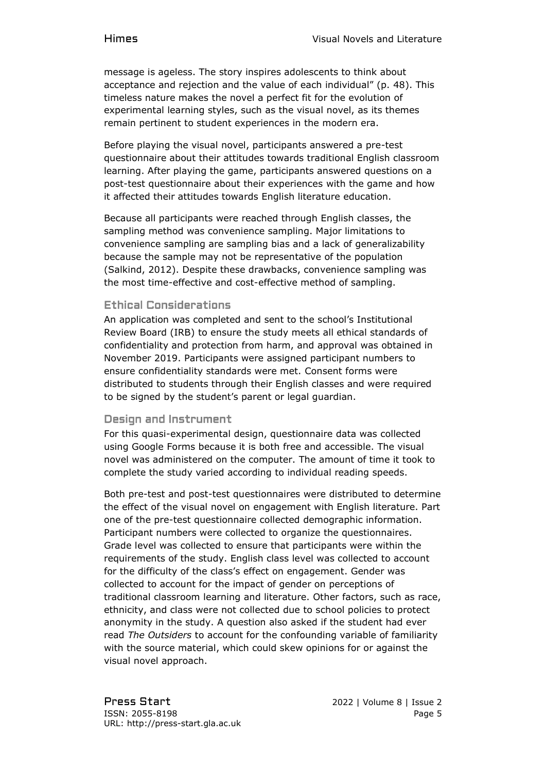message is ageless. The story inspires adolescents to think about acceptance and rejection and the value of each individual" (p. 48). This timeless nature makes the novel a perfect fit for the evolution of experimental learning styles, such as the visual novel, as its themes remain pertinent to student experiences in the modern era.

Before playing the visual novel, participants answered a pre-test questionnaire about their attitudes towards traditional English classroom learning. After playing the game, participants answered questions on a post-test questionnaire about their experiences with the game and how it affected their attitudes towards English literature education.

Because all participants were reached through English classes, the sampling method was convenience sampling. Major limitations to convenience sampling are sampling bias and a lack of generalizability because the sample may not be representative of the population (Salkind, 2012). Despite these drawbacks, convenience sampling was the most time-effective and cost-effective method of sampling.

#### Ethical Considerations

An application was completed and sent to the school's Institutional Review Board (IRB) to ensure the study meets all ethical standards of confidentiality and protection from harm, and approval was obtained in November 2019. Participants were assigned participant numbers to ensure confidentiality standards were met. Consent forms were distributed to students through their English classes and were required to be signed by the student's parent or legal guardian.

#### Design and Instrument

For this quasi-experimental design, questionnaire data was collected using Google Forms because it is both free and accessible. The visual novel was administered on the computer. The amount of time it took to complete the study varied according to individual reading speeds.

Both pre-test and post-test questionnaires were distributed to determine the effect of the visual novel on engagement with English literature. Part one of the pre-test questionnaire collected demographic information. Participant numbers were collected to organize the questionnaires. Grade level was collected to ensure that participants were within the requirements of the study. English class level was collected to account for the difficulty of the class's effect on engagement. Gender was collected to account for the impact of gender on perceptions of traditional classroom learning and literature. Other factors, such as race, ethnicity, and class were not collected due to school policies to protect anonymity in the study. A question also asked if the student had ever read *The Outsiders* to account for the confounding variable of familiarity with the source material, which could skew opinions for or against the visual novel approach.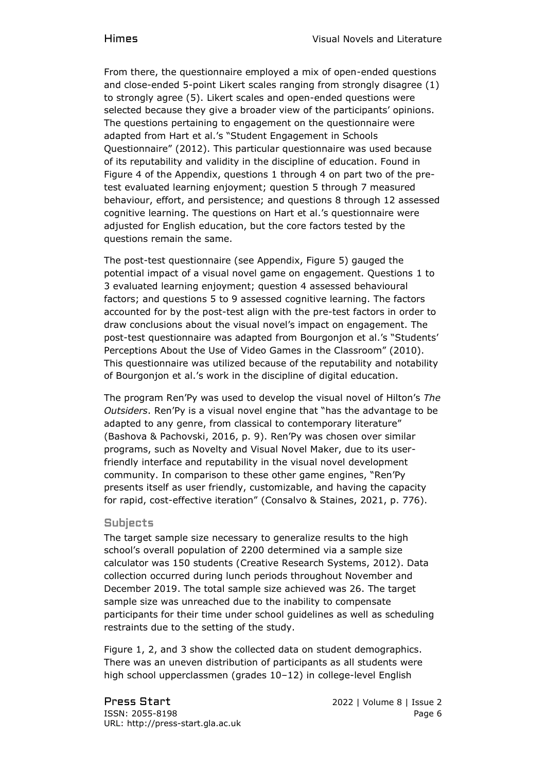From there, the questionnaire employed a mix of open-ended questions and close-ended 5-point Likert scales ranging from strongly disagree (1) to strongly agree (5). Likert scales and open-ended questions were selected because they give a broader view of the participants' opinions. The questions pertaining to engagement on the questionnaire were adapted from Hart et al.'s "Student Engagement in Schools Questionnaire" (2012). This particular questionnaire was used because of its reputability and validity in the discipline of education. Found in Figure 4 of the Appendix, questions 1 through 4 on part two of the pretest evaluated learning enjoyment; question 5 through 7 measured behaviour, effort, and persistence; and questions 8 through 12 assessed cognitive learning. The questions on Hart et al.'s questionnaire were adjusted for English education, but the core factors tested by the questions remain the same.

The post-test questionnaire (see Appendix, Figure 5) gauged the potential impact of a visual novel game on engagement. Questions 1 to 3 evaluated learning enjoyment; question 4 assessed behavioural factors; and questions 5 to 9 assessed cognitive learning. The factors accounted for by the post-test align with the pre-test factors in order to draw conclusions about the visual novel's impact on engagement. The post-test questionnaire was adapted from Bourgonjon et al.'s "Students' Perceptions About the Use of Video Games in the Classroom" (2010). This questionnaire was utilized because of the reputability and notability of Bourgonjon et al.'s work in the discipline of digital education.

The program Ren'Py was used to develop the visual novel of Hilton's *The Outsiders*. Ren'Py is a visual novel engine that "has the advantage to be adapted to any genre, from classical to contemporary literature" (Bashova & Pachovski, 2016, p. 9). Ren'Py was chosen over similar programs, such as Novelty and Visual Novel Maker, due to its userfriendly interface and reputability in the visual novel development community. In comparison to these other game engines, "Ren'Py presents itself as user friendly, customizable, and having the capacity for rapid, cost-effective iteration" (Consalvo & Staines, 2021, p. 776).

### Subjects

The target sample size necessary to generalize results to the high school's overall population of 2200 determined via a sample size calculator was 150 students (Creative Research Systems, 2012). Data collection occurred during lunch periods throughout November and December 2019. The total sample size achieved was 26. The target sample size was unreached due to the inability to compensate participants for their time under school guidelines as well as scheduling restraints due to the setting of the study.

Figure 1, 2, and 3 show the collected data on student demographics. There was an uneven distribution of participants as all students were high school upperclassmen (grades 10-12) in college-level English

Press Start 2022 | Volume 8 | Issue 2 ISSN: 2055-8198 Page 6 URL: http://press-start.gla.ac.uk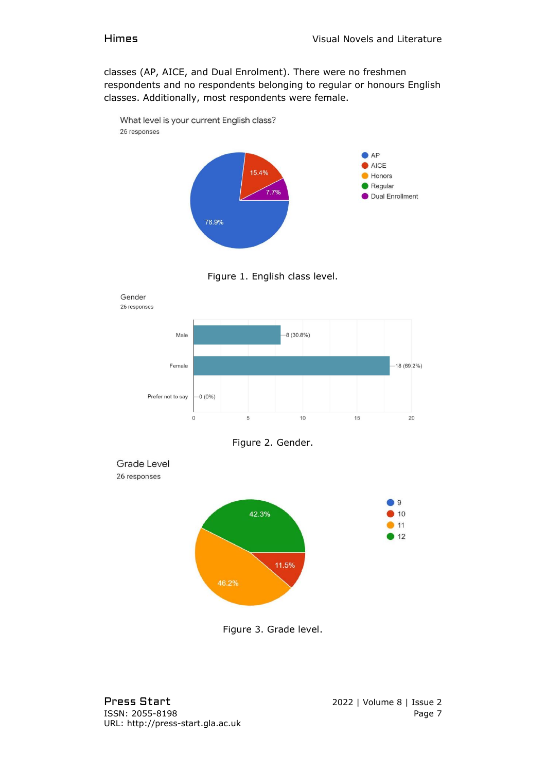classes (AP, AICE, and Dual Enrolment). There were no freshmen respondents and no respondents belonging to regular or honours English classes. Additionally, most respondents were female.



Figure 1. English class level.



Figure 3. Grade level.

11.5%



46.2%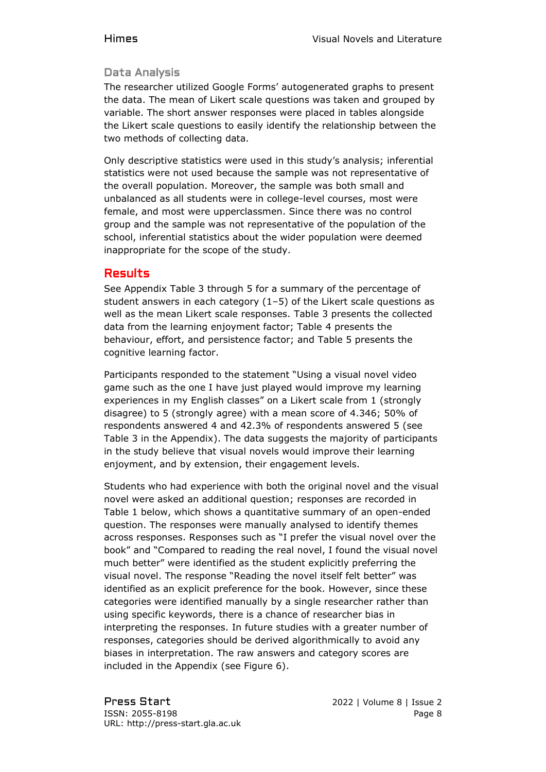#### Data Analysis

The researcher utilized Google Forms' autogenerated graphs to present the data. The mean of Likert scale questions was taken and grouped by variable. The short answer responses were placed in tables alongside the Likert scale questions to easily identify the relationship between the two methods of collecting data.

Only descriptive statistics were used in this study's analysis; inferential statistics were not used because the sample was not representative of the overall population. Moreover, the sample was both small and unbalanced as all students were in college-level courses, most were female, and most were upperclassmen. Since there was no control group and the sample was not representative of the population of the school, inferential statistics about the wider population were deemed inappropriate for the scope of the study.

## Results

See Appendix Table 3 through 5 for a summary of the percentage of student answers in each category (1–5) of the Likert scale questions as well as the mean Likert scale responses. Table 3 presents the collected data from the learning enjoyment factor; Table 4 presents the behaviour, effort, and persistence factor; and Table 5 presents the cognitive learning factor.

Participants responded to the statement "Using a visual novel video game such as the one I have just played would improve my learning experiences in my English classes" on a Likert scale from 1 (strongly disagree) to 5 (strongly agree) with a mean score of 4.346; 50% of respondents answered 4 and 42.3% of respondents answered 5 (see Table 3 in the Appendix). The data suggests the majority of participants in the study believe that visual novels would improve their learning enjoyment, and by extension, their engagement levels.

Students who had experience with both the original novel and the visual novel were asked an additional question; responses are recorded in Table 1 below, which shows a quantitative summary of an open-ended question. The responses were manually analysed to identify themes across responses. Responses such as "I prefer the visual novel over the book" and "Compared to reading the real novel, I found the visual novel much better" were identified as the student explicitly preferring the visual novel. The response "Reading the novel itself felt better" was identified as an explicit preference for the book. However, since these categories were identified manually by a single researcher rather than using specific keywords, there is a chance of researcher bias in interpreting the responses. In future studies with a greater number of responses, categories should be derived algorithmically to avoid any biases in interpretation. The raw answers and category scores are included in the Appendix (see Figure 6).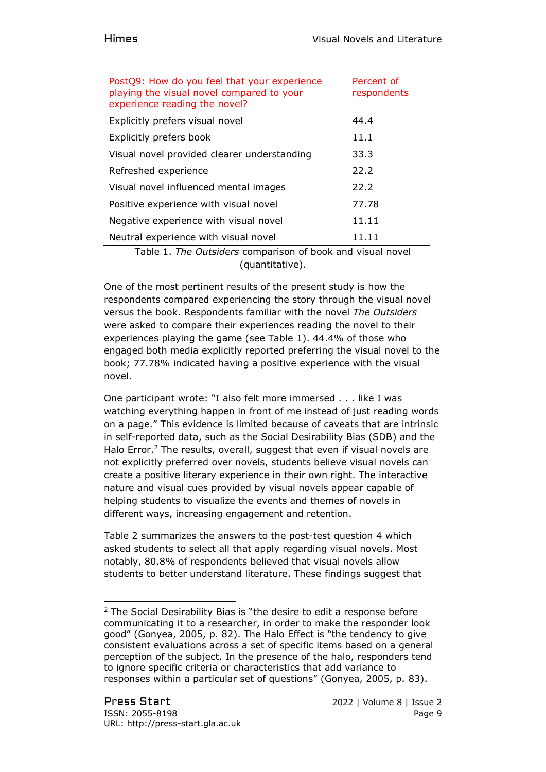| PostQ9: How do you feel that your experience<br>playing the visual novel compared to your<br>experience reading the novel? | Percent of<br>respondents |
|----------------------------------------------------------------------------------------------------------------------------|---------------------------|
| Explicitly prefers visual novel                                                                                            | 44.4                      |
| Explicitly prefers book                                                                                                    | 11.1                      |
| Visual novel provided clearer understanding                                                                                | 33.3                      |
| Refreshed experience                                                                                                       | 22.2                      |
| Visual novel influenced mental images                                                                                      | 22.2                      |
| Positive experience with visual novel                                                                                      | 77.78                     |
| Negative experience with visual novel                                                                                      | 11.11                     |
| Neutral experience with visual novel                                                                                       | 11.11                     |
| $\sim$ $\sim$ $\sim$<br>— '' - <del>-</del> ' - - ''                                                                       | .                         |

Table 1. *The Outsiders* comparison of book and visual novel (quantitative).

One of the most pertinent results of the present study is how the respondents compared experiencing the story through the visual novel versus the book. Respondents familiar with the novel *The Outsiders* were asked to compare their experiences reading the novel to their experiences playing the game (see Table 1). 44.4% of those who engaged both media explicitly reported preferring the visual novel to the book; 77.78% indicated having a positive experience with the visual novel.

One participant wrote: "I also felt more immersed . . . like I was watching everything happen in front of me instead of just reading words on a page." This evidence is limited because of caveats that are intrinsic in self-reported data, such as the Social Desirability Bias (SDB) and the Halo Error.<sup>2</sup> The results, overall, suggest that even if visual novels are not explicitly preferred over novels, students believe visual novels can create a positive literary experience in their own right. The interactive nature and visual cues provided by visual novels appear capable of helping students to visualize the events and themes of novels in different ways, increasing engagement and retention.

Table 2 summarizes the answers to the post-test question 4 which asked students to select all that apply regarding visual novels. Most notably, 80.8% of respondents believed that visual novels allow students to better understand literature. These findings suggest that

<sup>&</sup>lt;sup>2</sup> The Social Desirability Bias is "the desire to edit a response before communicating it to a researcher, in order to make the responder look good" (Gonyea, 2005, p. 82). The Halo Effect is "the tendency to give consistent evaluations across a set of specific items based on a general perception of the subject. In the presence of the halo, responders tend to ignore specific criteria or characteristics that add variance to responses within a particular set of questions" (Gonyea, 2005, p. 83).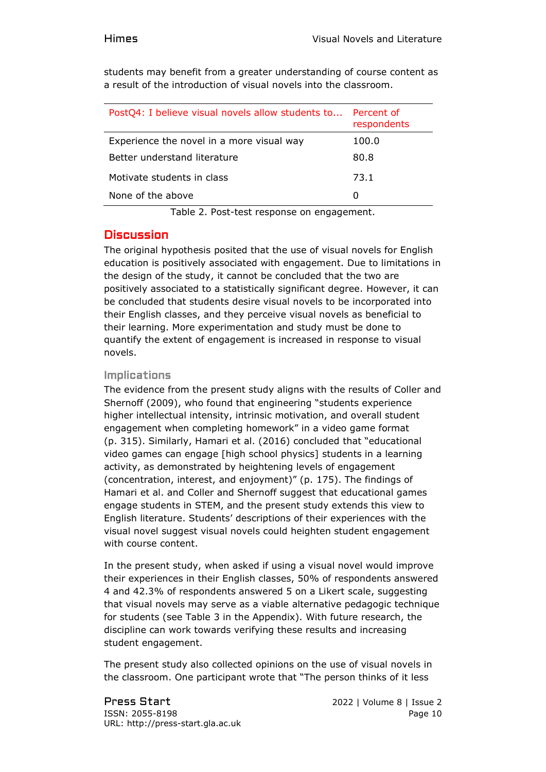students may benefit from a greater understanding of course content as a result of the introduction of visual novels into the classroom.

| PostQ4: I believe visual novels allow students to | Percent of<br>respondents |
|---------------------------------------------------|---------------------------|
| Experience the novel in a more visual way         | 100.0                     |
| Better understand literature                      | 80.8                      |
| Motivate students in class                        | 73.1                      |
| None of the above                                 | $\Omega$                  |

Table 2. Post-test response on engagement.

# **Discussion**

The original hypothesis posited that the use of visual novels for English education is positively associated with engagement. Due to limitations in the design of the study, it cannot be concluded that the two are positively associated to a statistically significant degree. However, it can be concluded that students desire visual novels to be incorporated into their English classes, and they perceive visual novels as beneficial to their learning. More experimentation and study must be done to quantify the extent of engagement is increased in response to visual novels.

## Implications

The evidence from the present study aligns with the results of Coller and Shernoff (2009), who found that engineering "students experience higher intellectual intensity, intrinsic motivation, and overall student engagement when completing homework" in a video game format (p. 315). Similarly, Hamari et al. (2016) concluded that "educational video games can engage [high school physics] students in a learning activity, as demonstrated by heightening levels of engagement (concentration, interest, and enjoyment)" (p. 175). The findings of Hamari et al. and Coller and Shernoff suggest that educational games engage students in STEM, and the present study extends this view to English literature. Students' descriptions of their experiences with the visual novel suggest visual novels could heighten student engagement with course content.

In the present study, when asked if using a visual novel would improve their experiences in their English classes, 50% of respondents answered 4 and 42.3% of respondents answered 5 on a Likert scale, suggesting that visual novels may serve as a viable alternative pedagogic technique for students (see Table 3 in the Appendix). With future research, the discipline can work towards verifying these results and increasing student engagement.

The present study also collected opinions on the use of visual novels in the classroom. One participant wrote that "The person thinks of it less

Press Start 2022 | Volume 8 | Issue 2 ISSN: 2055-8198 **Page 10** URL: http://press-start.gla.ac.uk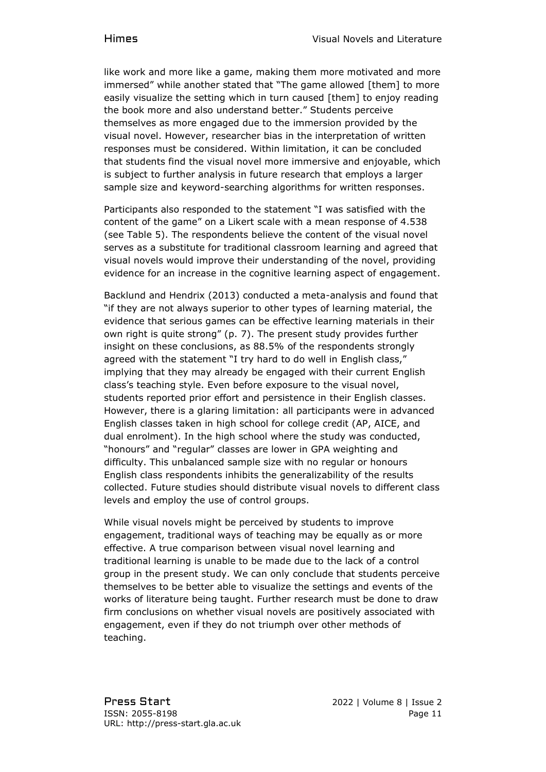like work and more like a game, making them more motivated and more immersed" while another stated that "The game allowed [them] to more easily visualize the setting which in turn caused [them] to enjoy reading the book more and also understand better." Students perceive themselves as more engaged due to the immersion provided by the visual novel. However, researcher bias in the interpretation of written responses must be considered. Within limitation, it can be concluded that students find the visual novel more immersive and enjoyable, which is subject to further analysis in future research that employs a larger sample size and keyword-searching algorithms for written responses.

Participants also responded to the statement "I was satisfied with the content of the game" on a Likert scale with a mean response of 4.538 (see Table 5). The respondents believe the content of the visual novel serves as a substitute for traditional classroom learning and agreed that visual novels would improve their understanding of the novel, providing evidence for an increase in the cognitive learning aspect of engagement.

Backlund and Hendrix (2013) conducted a meta-analysis and found that "if they are not always superior to other types of learning material, the evidence that serious games can be effective learning materials in their own right is quite strong" (p. 7). The present study provides further insight on these conclusions, as 88.5% of the respondents strongly agreed with the statement "I try hard to do well in English class," implying that they may already be engaged with their current English class's teaching style. Even before exposure to the visual novel, students reported prior effort and persistence in their English classes. However, there is a glaring limitation: all participants were in advanced English classes taken in high school for college credit (AP, AICE, and dual enrolment). In the high school where the study was conducted, "honours" and "regular" classes are lower in GPA weighting and difficulty. This unbalanced sample size with no regular or honours English class respondents inhibits the generalizability of the results collected. Future studies should distribute visual novels to different class levels and employ the use of control groups.

While visual novels might be perceived by students to improve engagement, traditional ways of teaching may be equally as or more effective. A true comparison between visual novel learning and traditional learning is unable to be made due to the lack of a control group in the present study. We can only conclude that students perceive themselves to be better able to visualize the settings and events of the works of literature being taught. Further research must be done to draw firm conclusions on whether visual novels are positively associated with engagement, even if they do not triumph over other methods of teaching.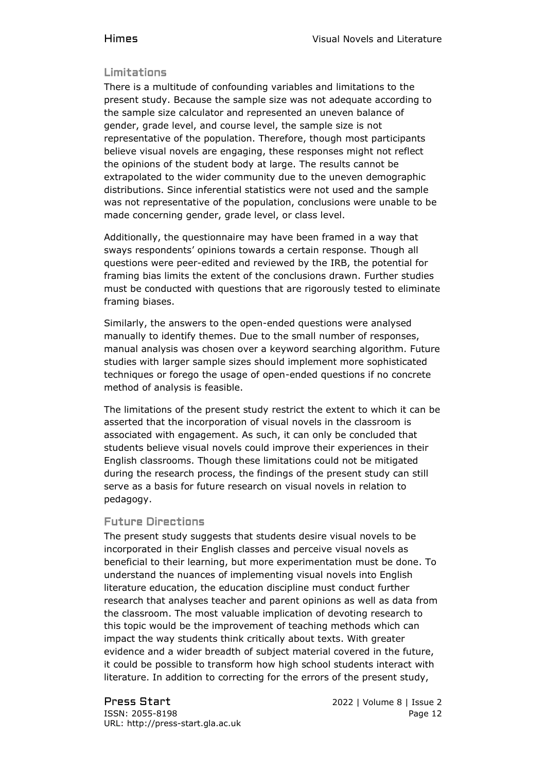### Limitations

There is a multitude of confounding variables and limitations to the present study. Because the sample size was not adequate according to the sample size calculator and represented an uneven balance of gender, grade level, and course level, the sample size is not representative of the population. Therefore, though most participants believe visual novels are engaging, these responses might not reflect the opinions of the student body at large. The results cannot be extrapolated to the wider community due to the uneven demographic distributions. Since inferential statistics were not used and the sample was not representative of the population, conclusions were unable to be made concerning gender, grade level, or class level.

Additionally, the questionnaire may have been framed in a way that sways respondents' opinions towards a certain response. Though all questions were peer-edited and reviewed by the IRB, the potential for framing bias limits the extent of the conclusions drawn. Further studies must be conducted with questions that are rigorously tested to eliminate framing biases.

Similarly, the answers to the open-ended questions were analysed manually to identify themes. Due to the small number of responses, manual analysis was chosen over a keyword searching algorithm. Future studies with larger sample sizes should implement more sophisticated techniques or forego the usage of open-ended questions if no concrete method of analysis is feasible.

The limitations of the present study restrict the extent to which it can be asserted that the incorporation of visual novels in the classroom is associated with engagement. As such, it can only be concluded that students believe visual novels could improve their experiences in their English classrooms. Though these limitations could not be mitigated during the research process, the findings of the present study can still serve as a basis for future research on visual novels in relation to pedagogy.

### Future Directions

The present study suggests that students desire visual novels to be incorporated in their English classes and perceive visual novels as beneficial to their learning, but more experimentation must be done. To understand the nuances of implementing visual novels into English literature education, the education discipline must conduct further research that analyses teacher and parent opinions as well as data from the classroom. The most valuable implication of devoting research to this topic would be the improvement of teaching methods which can impact the way students think critically about texts. With greater evidence and a wider breadth of subject material covered in the future, it could be possible to transform how high school students interact with literature. In addition to correcting for the errors of the present study,

Press Start 2022 | Volume 8 | Issue 2 ISSN: 2055-8198 Page 12 URL: http://press-start.gla.ac.uk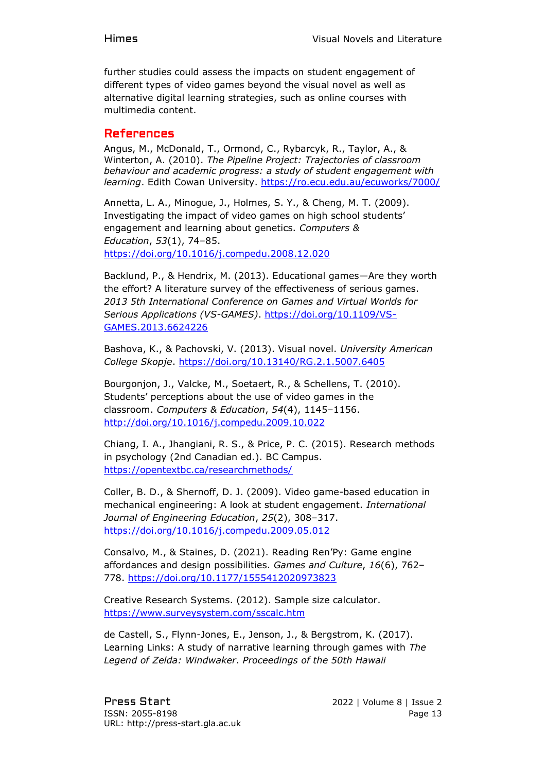further studies could assess the impacts on student engagement of different types of video games beyond the visual novel as well as alternative digital learning strategies, such as online courses with multimedia content.

# References

Angus, M., McDonald, T., Ormond, C., Rybarcyk, R., Taylor, A., & Winterton, A. (2010). *The Pipeline Project: Trajectories of classroom behaviour and academic progress: a study of student engagement with learning*. Edith Cowan University.<https://ro.ecu.edu.au/ecuworks/7000/>

Annetta, L. A., Minogue, J., Holmes, S. Y., & Cheng, M. T. (2009). Investigating the impact of video games on high school students' engagement and learning about genetics. *Computers & Education*, *53*(1), 74–85. <https://doi.org/10.1016/j.compedu.2008.12.020>

Backlund, P., & Hendrix, M. (2013). Educational games—Are they worth the effort? A literature survey of the effectiveness of serious games. *2013 5th International Conference on Games and Virtual Worlds for Serious Applications (VS-GAMES)*. [https://doi.org/10.1109/VS-](https://doi.org/10.1109/VS-GAMES.2013.6624226)[GAMES.2013.6624226](https://doi.org/10.1109/VS-GAMES.2013.6624226)

Bashova, K., & Pachovski, V. (2013). Visual novel. *University American College Skopje*.<https://doi.org/10.13140/RG.2.1.5007.6405>

Bourgonjon, J., Valcke, M., Soetaert, R., & Schellens, T. (2010). Students' perceptions about the use of video games in the classroom. *Computers & Education*, *54*(4), 1145–1156. <http://doi.org/10.1016/j.compedu.2009.10.022>

Chiang, I. A., Jhangiani, R. S., & Price, P. C. (2015). Research methods in psychology (2nd Canadian ed.). BC Campus. <https://opentextbc.ca/researchmethods/>

Coller, B. D., & Shernoff, D. J. (2009). Video game-based education in mechanical engineering: A look at student engagement. *International Journal of Engineering Education*, *25*(2), 308–317. <https://doi.org/10.1016/j.compedu.2009.05.012>

Consalvo, M., & Staines, D. (2021). Reading Ren'Py: Game engine affordances and design possibilities. *Games and Culture*, *16*(6), 762– 778.<https://doi.org/10.1177/1555412020973823>

Creative Research Systems. (2012). Sample size calculator. <https://www.surveysystem.com/sscalc.htm>

de Castell, S., Flynn-Jones, E., Jenson, J., & Bergstrom, K. (2017). Learning Links: A study of narrative learning through games with *The Legend of Zelda: Windwaker*. *Proceedings of the 50th Hawaii*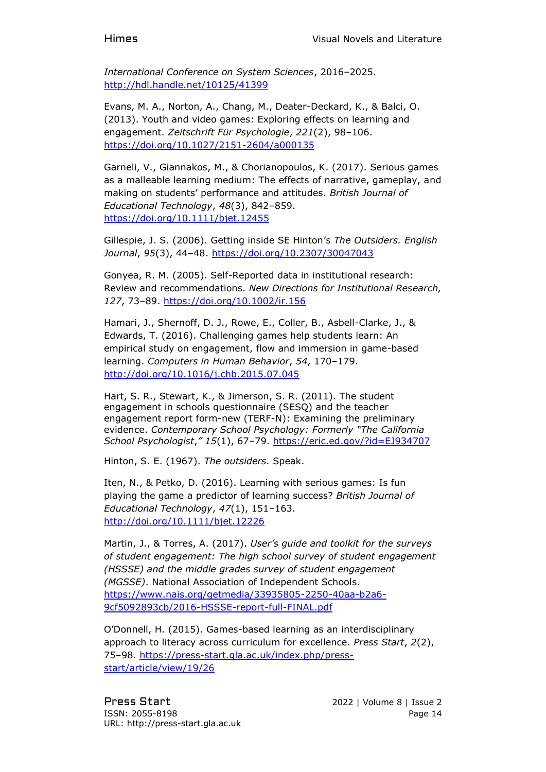*International Conference on System Sciences*, 2016–2025. <http://hdl.handle.net/10125/41399>

Evans, M. A., Norton, A., Chang, M., Deater-Deckard, K., & Balci, O. (2013). Youth and video games: Exploring effects on learning and engagement. *Zeitschrift Für Psychologie*, *221*(2), 98–106. <https://doi.org/10.1027/2151-2604/a000135>

Garneli, V., Giannakos, M., & Chorianopoulos, K. (2017). Serious games as a malleable learning medium: The effects of narrative, gameplay, and making on students' performance and attitudes. *British Journal of Educational Technology*, *48*(3), 842–859. <https://doi.org/10.1111/bjet.12455>

Gillespie, J. S. (2006). Getting inside SE Hinton's *The Outsiders. English Journal*, *95*(3), 44–48. <https://doi.org/10.2307/30047043>

Gonyea, R. M. (2005). Self-Reported data in institutional research: Review and recommendations. *New Directions for Institutional Research, 127*, 73–89.<https://doi.org/10.1002/ir.156>

Hamari, J., Shernoff, D. J., Rowe, E., Coller, B., Asbell-Clarke, J., & Edwards, T. (2016). Challenging games help students learn: An empirical study on engagement, flow and immersion in game-based learning. *Computers in Human Behavior*, *54*, 170–179. <http://doi.org/10.1016/j.chb.2015.07.045>

Hart, S. R., Stewart, K., & Jimerson, S. R. (2011). The student engagement in schools questionnaire (SESQ) and the teacher engagement report form-new (TERF-N): Examining the preliminary evidence. *Contemporary School Psychology: Formerly "The California School Psychologist*,*" 15*(1), 67–79. <https://eric.ed.gov/?id=EJ934707>

Hinton, S. E. (1967). *The outsiders*. Speak.

Iten, N., & Petko, D. (2016). Learning with serious games: Is fun playing the game a predictor of learning success? *British Journal of Educational Technology*, *47*(1), 151–163. <http://doi.org/10.1111/bjet.12226>

Martin, J., & Torres, A. (2017). *User's guide and toolkit for the surveys of student engagement: The high school survey of student engagement (HSSSE) and the middle grades survey of student engagement (MGSSE)*. National Association of Independent Schools. [https://www.nais.org/getmedia/33935805-2250-40aa-b2a6-](https://www.nais.org/getmedia/33935805-2250-40aa-b2a6-9cf5092893cb/2016-HSSSE-report-full-FINAL.pdf) [9cf5092893cb/2016-HSSSE-report-full-FINAL.pdf](https://www.nais.org/getmedia/33935805-2250-40aa-b2a6-9cf5092893cb/2016-HSSSE-report-full-FINAL.pdf)

O'Donnell, H. (2015). Games-based learning as an interdisciplinary approach to literacy across curriculum for excellence. *Press Start*, *2*(2), 75–98. [https://press-start.gla.ac.uk/index.php/press](https://press-start.gla.ac.uk/index.php/press-start/article/view/19/26)[start/article/view/19/26](https://press-start.gla.ac.uk/index.php/press-start/article/view/19/26)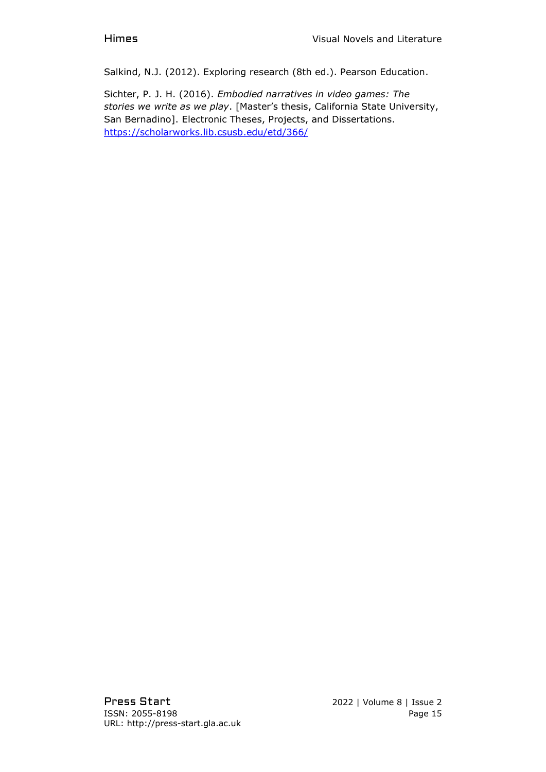Salkind, N.J. (2012). Exploring research (8th ed.). Pearson Education.

Sichter, P. J. H. (2016). *Embodied narratives in video games: The stories we write as we play*. [Master's thesis, California State University, San Bernadino]. Electronic Theses, Projects, and Dissertations. <https://scholarworks.lib.csusb.edu/etd/366/>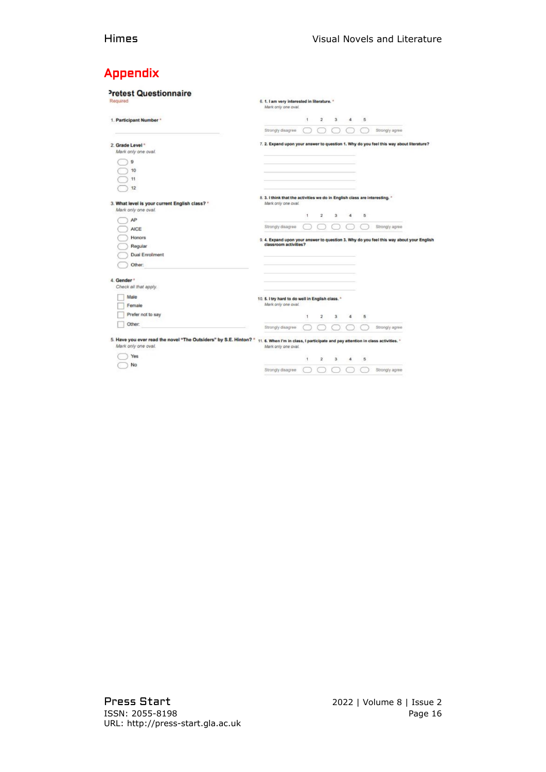# Appendix

| Required                                                                 | 6. 1. I am very interested in literature. *<br>Mark only one oval.                                      |                      |                |                         |                |   |                                                                                          |
|--------------------------------------------------------------------------|---------------------------------------------------------------------------------------------------------|----------------------|----------------|-------------------------|----------------|---|------------------------------------------------------------------------------------------|
| 1. Participant Number*                                                   |                                                                                                         | $\ddot{\phantom{1}}$ | $\overline{2}$ | $\mathbf{3}$            | $\overline{4}$ | 5 |                                                                                          |
|                                                                          | Strongly disagree                                                                                       |                      |                |                         |                |   | Strongly agree                                                                           |
| 2. Grade Level *<br>Mark only one oval.                                  |                                                                                                         |                      |                |                         |                |   | 7. 2. Expand upon your answer to question 1. Why do you feel this way about literature?  |
| $\theta$                                                                 |                                                                                                         |                      |                |                         |                |   |                                                                                          |
| 10                                                                       |                                                                                                         |                      |                |                         |                |   |                                                                                          |
| 11<br>12                                                                 |                                                                                                         |                      |                |                         |                |   |                                                                                          |
| 3. What level is your current English class? *                           | 8. 3. I think that the activities we do in English class are interesting. *<br>Mark only one oval.      |                      |                |                         |                |   |                                                                                          |
| Mark only one oval.                                                      |                                                                                                         | 1                    | $\overline{2}$ | 3                       | $\overline{4}$ | 5 |                                                                                          |
|                                                                          |                                                                                                         |                      |                |                         |                |   |                                                                                          |
| AP                                                                       | Strongly disagree                                                                                       |                      |                |                         |                |   | Strongly agree                                                                           |
| <b>AICE</b><br>Honors<br>Regular<br>Dual Enrollment                      | classroom activities?                                                                                   |                      |                |                         |                |   | 9. 4. Expand upon your answer to question 3. Why do you feel this way about your English |
| Other:                                                                   |                                                                                                         |                      |                |                         |                |   |                                                                                          |
| Check all that apply.                                                    |                                                                                                         |                      |                |                         |                |   |                                                                                          |
| Male<br>Female                                                           | 10. 5. I try hard to do well in English class. *<br>Mark only one oval.                                 |                      |                |                         |                |   |                                                                                          |
| 4. Gender*<br>Prefer not to say                                          |                                                                                                         | $\mathbf{1}$         | $\overline{2}$ | 3                       | 4              | 5 |                                                                                          |
| Other:                                                                   | Strongly disagree                                                                                       |                      |                |                         |                |   | Strongly agree                                                                           |
| Mark only one oval.                                                      | 11. 6. When I'm in class, I participate and pay attention in class activities. *<br>Mark only one oval. |                      |                |                         |                |   |                                                                                          |
| 5. Have you ever read the novel "The Outsiders" by S.E. Hinton? "<br>Yes |                                                                                                         | $\mathbf{1}$         | $\overline{2}$ | $\overline{\mathbf{3}}$ | 4              | 5 |                                                                                          |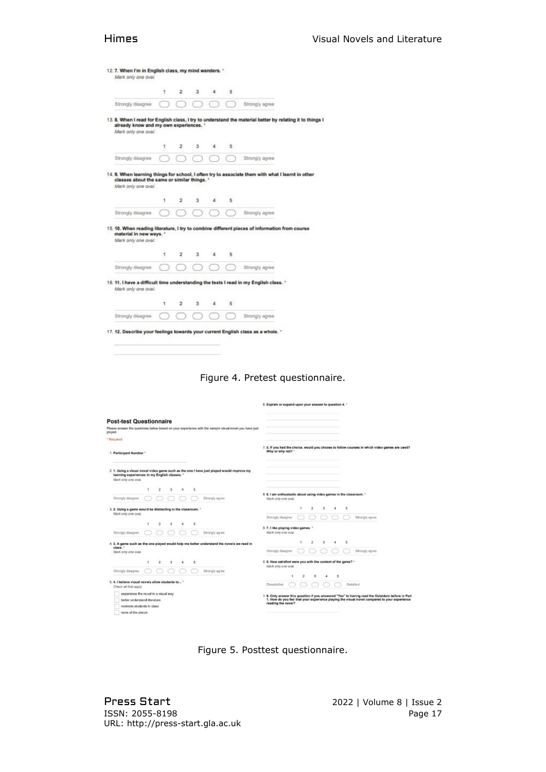|                                                                   | $\mathbf{1}$ | $\overline{2}$ | 3 | 4  | 5 |                                                                                                          |
|-------------------------------------------------------------------|--------------|----------------|---|----|---|----------------------------------------------------------------------------------------------------------|
| Strongly disagree                                                 |              |                |   |    |   | Strongly agree                                                                                           |
| already know and my own experiences. *<br>Mark only one oval.     |              |                |   |    |   | 13. 8. When I read for English class, I try to understand the material better by relating it to things I |
|                                                                   | 1            | $\overline{2}$ | 3 | 4  | 5 |                                                                                                          |
| Strongly disagree                                                 |              |                |   |    |   | Strongly agree                                                                                           |
| classes about the same or similar things."<br>Mark only one oval. |              |                |   |    |   | 14. 9. When learning things for school, I often try to associate them with what I learnt in other        |
|                                                                   | $\mathbf{1}$ | $\overline{2}$ | 3 | 4. | 5 |                                                                                                          |
| Strongly disagree                                                 |              |                |   |    |   | Strongly agree                                                                                           |
|                                                                   | 1            | $\overline{2}$ | 3 | 4  | 5 |                                                                                                          |
| Strongly disagree                                                 |              |                |   |    |   | Strongly agree                                                                                           |
|                                                                   |              |                |   |    |   | 16. 11. I have a difficult time understanding the texts I read in my English class. *                    |
| Mark only one oval.                                               |              |                |   | 4  | 5 |                                                                                                          |
|                                                                   | $\mathbf{1}$ | $\overline{2}$ | 3 |    |   |                                                                                                          |
| Strongly disagree                                                 |              |                |   |    |   | Strongly agree                                                                                           |

|                                                                                    |   |                |                         |                |   |                                                                                                       | 6. Explain or expand upon your answer to question 4. *                                                              |
|------------------------------------------------------------------------------------|---|----------------|-------------------------|----------------|---|-------------------------------------------------------------------------------------------------------|---------------------------------------------------------------------------------------------------------------------|
| <b>Post-test Questionnaire</b>                                                     |   |                |                         |                |   |                                                                                                       |                                                                                                                     |
| played.                                                                            |   |                |                         |                |   | Please answer the questions below based on your experience with the sample visual novel you have just |                                                                                                                     |
| * Required                                                                         |   |                |                         |                |   |                                                                                                       |                                                                                                                     |
| 1. Participant Number*                                                             |   |                |                         |                |   |                                                                                                       | 7. 5. If you had the choice, would you choose to follow courses in which video games are used?<br>Why or why not? " |
| learning experiences in my English classes. *<br>Mark only one oval.               |   |                |                         |                |   | 2. 1. Using a visual novel video game such as the one I have just played would improve my             |                                                                                                                     |
|                                                                                    | 1 | $\overline{2}$ | 3                       | 4              | 5 |                                                                                                       |                                                                                                                     |
| Strongly disagree                                                                  |   |                |                         |                |   | Strongly agree                                                                                        | 8. 6. I am enthusiastic about using video games in the classroom. *<br>Mark only one oval.                          |
| 3. 2. Using a game would be distracting in the classroom. *<br>Mark only one oval. |   |                |                         |                |   |                                                                                                       | $\overline{\mathbf{z}}$<br>3<br>1<br>5<br>$\overline{4}$<br>Strongly disagree<br>Strongly agree                     |
|                                                                                    | ٠ | $\overline{2}$ | 3                       | 4              | 5 |                                                                                                       |                                                                                                                     |
| Strongly disagree                                                                  |   |                |                         |                |   | Strongly agree                                                                                        | 9.7. I like playing video games. *<br>Mark only one oval.                                                           |
|                                                                                    |   |                |                         |                |   | 4. 3. A game such as the one played would help me better understand the novels we read in             | 1<br>$\overline{2}$<br>3<br>5<br>$\overline{a}$                                                                     |
| class."<br>Mark only one oval.                                                     |   |                |                         |                |   |                                                                                                       | Strongly disagree<br>Strongly agree                                                                                 |
|                                                                                    | 1 | $\overline{2}$ | $\overline{\mathbf{3}}$ | $\overline{4}$ | 5 |                                                                                                       | 0. 8. How satisfied were you with the content of the game? *                                                        |
| Strongly disagree                                                                  |   |                |                         |                |   | Strongly agree                                                                                        | Mark anly one oval.                                                                                                 |
| 5.4. I believe visual novels allow students to *<br>Check all that apply.          |   |                |                         |                |   |                                                                                                       | $\mathbf{1}$<br>$\overline{2}$<br>3<br>5<br>$\Delta$<br>Dissatisfied<br>Satisfied                                   |
| experience the novel in a visual way                                               |   |                |                         |                |   |                                                                                                       | 9. Only answer this question if you answered "Yes" to having read the Outsiders before in Part                      |
| better understand literature                                                       |   |                |                         |                |   |                                                                                                       | 1. How do you feel that your experience playing the visual novel compared to your experience<br>reading the novel?  |
| motivate students in class                                                         |   |                |                         |                |   |                                                                                                       |                                                                                                                     |
| none of the above                                                                  |   |                |                         |                |   |                                                                                                       |                                                                                                                     |



Press Start 2022 | Volume 8 | Issue 2<br>ISSN: 2055-8198 Page 17 ISSN: 2055-8198 URL: http://press-start.gla.ac.uk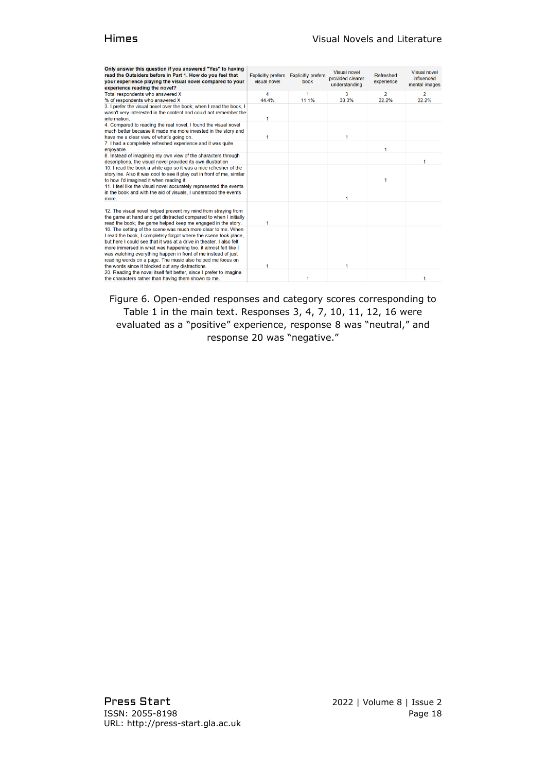| Only answer this question if you answered "Yes" to having<br>read the Outsiders before in Part 1. How do you feel that<br>your experience playing the visual novel compared to your<br>experience reading the novel?                                                                                                                                                                                                                                         | <b>Explicitly prefers</b><br>visual novel | <b>Explicitly prefers</b><br>book | <b>Visual novel</b><br>provided clearer<br>understanding | Refreshed<br>experience | <b>Visual novel</b><br>influenced<br>mental images |
|--------------------------------------------------------------------------------------------------------------------------------------------------------------------------------------------------------------------------------------------------------------------------------------------------------------------------------------------------------------------------------------------------------------------------------------------------------------|-------------------------------------------|-----------------------------------|----------------------------------------------------------|-------------------------|----------------------------------------------------|
| Total respondents who answered X                                                                                                                                                                                                                                                                                                                                                                                                                             | 4                                         | 1                                 | 3                                                        | 2                       | $\overline{2}$                                     |
| % of respondents who answered X                                                                                                                                                                                                                                                                                                                                                                                                                              | 44.4%                                     | 11.1%                             | 33.3%                                                    | 22.2%                   | 22.2%                                              |
| 3. I prefer the visual novel over the book; when I read the book, I<br>wasn't very interested in the content and could not remember the<br>information.                                                                                                                                                                                                                                                                                                      | 1                                         |                                   |                                                          |                         |                                                    |
| 4. Compared to reading the real novel, I found the visual novel<br>much better because it made me more invested in the story and<br>have me a clear view of what's going on.                                                                                                                                                                                                                                                                                 | 1                                         |                                   | 1                                                        |                         |                                                    |
| 7. I had a completely refreshed experience and it was quite<br>enjoyable.                                                                                                                                                                                                                                                                                                                                                                                    |                                           |                                   |                                                          | 1                       |                                                    |
| 8. Instead of imagining my own view of the characters through<br>descriptions, the visual novel provided its own illustration                                                                                                                                                                                                                                                                                                                                |                                           |                                   |                                                          |                         |                                                    |
| 10. I read the book a while ago so it was a nice refresher of the<br>storyline. Also it was cool to see it play out in front of me, similar<br>to how I'd imagined it when reading it.                                                                                                                                                                                                                                                                       |                                           |                                   |                                                          | 1                       |                                                    |
| 11. I feel like the visual novel accurately represented the events<br>in the book and with the aid of visuals, I understood the events<br>more.                                                                                                                                                                                                                                                                                                              |                                           |                                   | 1                                                        |                         |                                                    |
| 12. The visual novel helped prevent my mind from straying from<br>the game at hand and get distracted compared to when I initially<br>read the book; the game helped keep me engaged in the story.                                                                                                                                                                                                                                                           | 1                                         |                                   |                                                          |                         |                                                    |
| 16. The setting of the scene was much more clear to me. When<br>I read the book. I completely forgot where the scene took place.<br>but here I could see that it was at a drive in theater. I also felt<br>more immersed in what was happening too, it almost felt like I<br>was watching everything happen in front of me instead of just<br>reading words on a page. The music also helped me focus on<br>the words since it blocked out any distractions. | 1                                         |                                   | 1                                                        |                         |                                                    |
| 20. Reading the novel itself felt better, since I prefer to imagine<br>the characters rather than having them shown to me.                                                                                                                                                                                                                                                                                                                                   |                                           |                                   |                                                          |                         |                                                    |

Figure 6. Open-ended responses and category scores corresponding to Table 1 in the main text. Responses 3, 4, 7, 10, 11, 12, 16 were evaluated as a "positive" experience, response 8 was "neutral," and response 20 was "negative."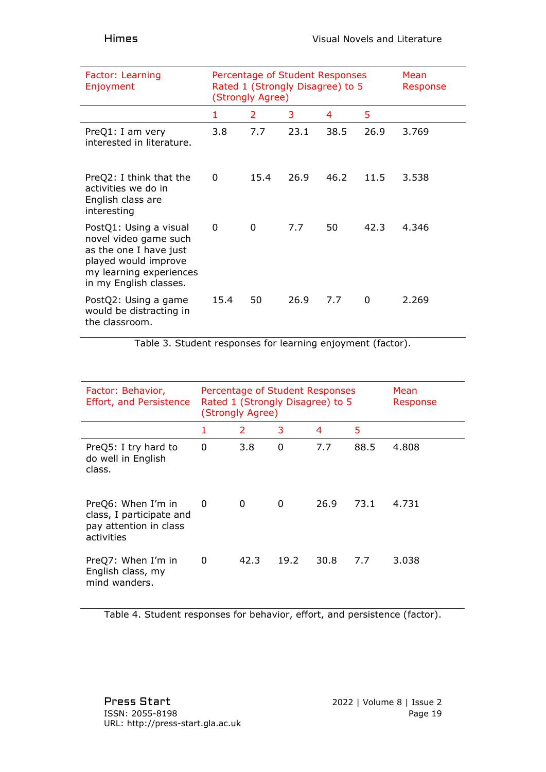| Factor: Learning<br>Enjoyment                                                                                                                          | Percentage of Student Responses<br>Rated 1 (Strongly Disagree) to 5<br>(Strongly Agree) | Mean<br>Response |      |      |      |       |
|--------------------------------------------------------------------------------------------------------------------------------------------------------|-----------------------------------------------------------------------------------------|------------------|------|------|------|-------|
|                                                                                                                                                        | 1                                                                                       | $\mathcal{P}$    | 3    | 4    | 5    |       |
| PreQ1: I am very<br>interested in literature.                                                                                                          | 3.8                                                                                     | 7.7              | 23.1 | 38.5 | 26.9 | 3.769 |
| PreQ2: I think that the<br>activities we do in<br>English class are<br>interesting                                                                     | $\Omega$                                                                                | 15.4             | 26.9 | 46.2 | 11.5 | 3.538 |
| PostQ1: Using a visual<br>novel video game such<br>as the one I have just<br>played would improve<br>my learning experiences<br>in my English classes. | $\Omega$                                                                                | 0                | 7.7  | 50   | 42.3 | 4.346 |
| PostQ2: Using a game<br>would be distracting in<br>the classroom.                                                                                      | 15.4                                                                                    | 50               | 26.9 | 7.7  | 0    | 2.269 |

Table 3. Student responses for learning enjoyment (factor).

| Factor: Behavior,<br><b>Effort, and Persistence</b>                                    |          | Percentage of Student Responses<br>Rated 1 (Strongly Disagree) to 5<br>(Strongly Agree) | Mean<br>Response |      |      |       |
|----------------------------------------------------------------------------------------|----------|-----------------------------------------------------------------------------------------|------------------|------|------|-------|
|                                                                                        | 1        | 2                                                                                       | 3                | 4    | 5    |       |
| PreQ5: I try hard to<br>do well in English<br>class.                                   | 0        | 3.8                                                                                     | 0                | 7.7  | 88.5 | 4.808 |
| PreQ6: When I'm in<br>class, I participate and<br>pay attention in class<br>activities | $\Omega$ | 0                                                                                       | $\Omega$         | 26.9 | 73.1 | 4.731 |
| PreQ7: When I'm in<br>English class, my<br>mind wanders.                               | $\Omega$ | 42.3                                                                                    | 19.2             | 30.8 | 7.7  | 3.038 |

Table 4. Student responses for behavior, effort, and persistence (factor).